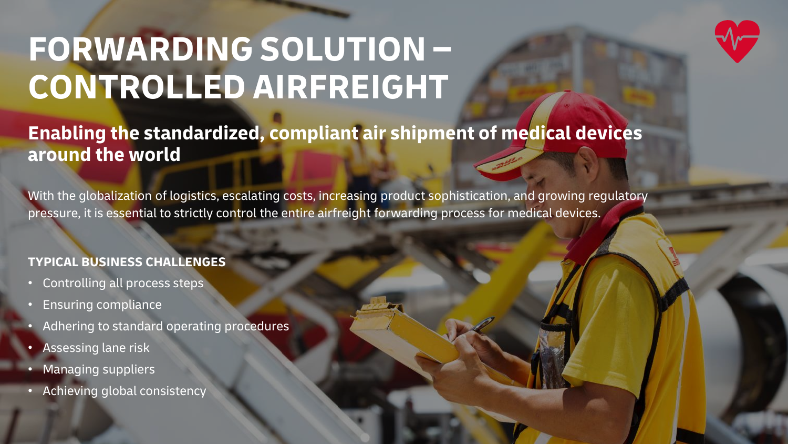

# **FORWARDING SOLUTION – CONTROLLED AIRFREIGHT**

**Enabling the standardized, compliant air shipment of medical devices around the world**

With the globalization of logistics, escalating costs, increasing product sophistication, and growing regulatory pressure, it is essential to strictly control the entire airfreight forwarding process for medical devices.

## **TYPICAL BUSINESS CHALLENGES**

- Controlling all process steps
- Ensuring compliance
- Adhering to standard operating procedures
- Assessing lane risk
- Managing suppliers
- Achieving global consistency